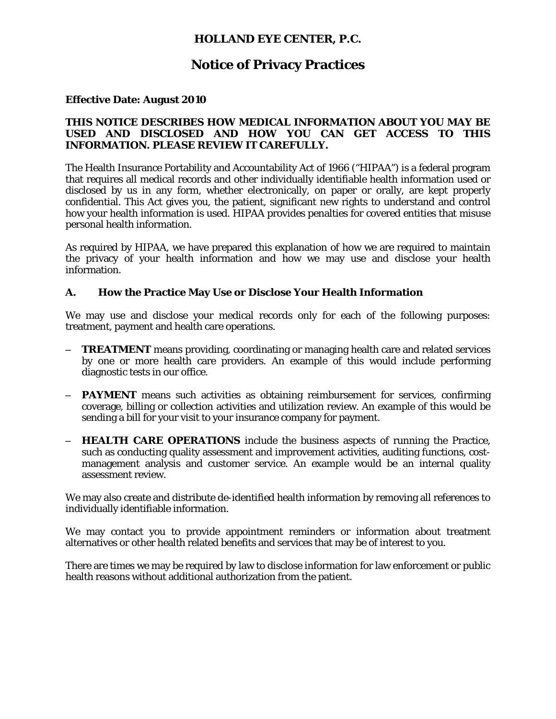## **HOLLAND EYE CENTER, P.C.**

# **Notice of Privacy Practices**

### **Effective Date: August 2010**

#### **THIS NOTICE DESCRIBES HOW MEDICAL INFORMATION ABOUT YOU MAY BE USED AND DISCLOSED AND HOW YOU CAN GET ACCESS TO THIS INFORMATION. PLEASE REVIEW IT CAREFULLY.**

The Health Insurance Portability and Accountability Act of 1966 ("HIPAA") is a federal program that requires all medical records and other individually identifiable health information used or disclosed by us in any form, whether electronically, on paper or orally, are kept properly confidential. This Act gives you, the patient, significant new rights to understand and control how your health information is used. HIPAA provides penalties for covered entities that misuse personal health information.

As required by HIPAA, we have prepared this explanation of how we are required to maintain the privacy of your health information and how we may use and disclose your health information.

### **A. How the Practice May Use or Disclose Your Health Information**

We may use and disclose your medical records only for each of the following purposes: treatment, payment and health care operations.

- **TREATMENT** means providing, coordinating or managing health care and related services by one or more health care providers. An example of this would include performing diagnostic tests in our office.
- **PAYMENT** means such activities as obtaining reimbursement for services, confirming coverage, billing or collection activities and utilization review. An example of this would be sending a bill for your visit to your insurance company for payment.
- **HEALTH CARE OPERATIONS** include the business aspects of running the Practice, such as conducting quality assessment and improvement activities, auditing functions, costmanagement analysis and customer service. An example would be an internal quality assessment review.

We may also create and distribute de-identified health information by removing all references to individually identifiable information.

We may contact you to provide appointment reminders or information about treatment alternatives or other health related benefits and services that may be of interest to you.

There are times we may be required by law to disclose information for law enforcement or public health reasons without additional authorization from the patient.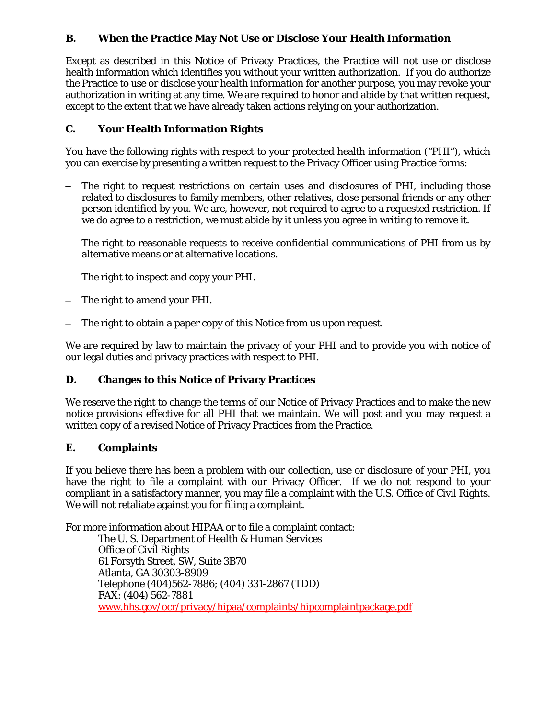### **B. When the Practice May Not Use or Disclose Your Health Information**

Except as described in this Notice of Privacy Practices, the Practice will not use or disclose health information which identifies you without your written authorization. If you do authorize the Practice to use or disclose your health information for another purpose, you may revoke your authorization in writing at any time. We are required to honor and abide by that written request, except to the extent that we have already taken actions relying on your authorization.

### **C. Your Health Information Rights**

You have the following rights with respect to your protected health information ("PHI"), which you can exercise by presenting a written request to the Privacy Officer using Practice forms:

- The right to request restrictions on certain uses and disclosures of PHI, including those related to disclosures to family members, other relatives, close personal friends or any other person identified by you. We are, however, not required to agree to a requested restriction. If we do agree to a restriction, we must abide by it unless you agree in writing to remove it.
- The right to reasonable requests to receive confidential communications of PHI from us by alternative means or at alternative locations.
- The right to inspect and copy your PHI.
- The right to amend your PHI.
- The right to obtain a paper copy of this Notice from us upon request.

We are required by law to maintain the privacy of your PHI and to provide you with notice of our legal duties and privacy practices with respect to PHI.

### **D. Changes to this Notice of Privacy Practices**

We reserve the right to change the terms of our Notice of Privacy Practices and to make the new notice provisions effective for all PHI that we maintain. We will post and you may request a written copy of a revised Notice of Privacy Practices from the Practice.

### **E. Complaints**

If you believe there has been a problem with our collection, use or disclosure of your PHI, you have the right to file a complaint with our Privacy Officer. If we do not respond to your compliant in a satisfactory manner, you may file a complaint with the U.S. Office of Civil Rights. We will not retaliate against you for filing a complaint.

For more information about HIPAA or to file a complaint contact:

The U. S. Department of Health & Human Services Office of Civil Rights 61 Forsyth Street, SW, Suite 3B70 Atlanta, GA 30303-8909 Telephone (404)562-7886; (404) 331-2867 (TDD) FAX: (404) 562-7881 www.hhs.gov/ocr/privacy/hipaa/complaints/hipcomplaintpackage.pdf